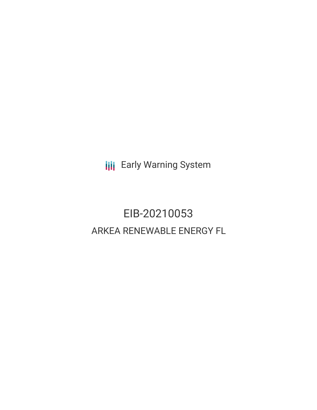**III** Early Warning System

# EIB-20210053 ARKEA RENEWABLE ENERGY FL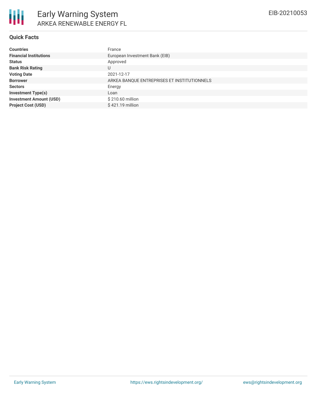

## **Quick Facts**

| <b>Countries</b>               | France                                      |
|--------------------------------|---------------------------------------------|
| <b>Financial Institutions</b>  | European Investment Bank (EIB)              |
| <b>Status</b>                  | Approved                                    |
| <b>Bank Risk Rating</b>        | U                                           |
| <b>Voting Date</b>             | 2021-12-17                                  |
| <b>Borrower</b>                | ARKEA BANQUE ENTREPRISES ET INSTITUTIONNELS |
| <b>Sectors</b>                 | Energy                                      |
| <b>Investment Type(s)</b>      | Loan                                        |
| <b>Investment Amount (USD)</b> | \$210.60 million                            |
| <b>Project Cost (USD)</b>      | \$421.19 million                            |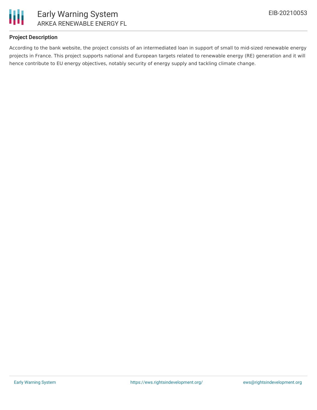

## **Project Description**

According to the bank website, the project consists of an intermediated loan in support of small to mid-sized renewable energy projects in France. This project supports national and European targets related to renewable energy (RE) generation and it will hence contribute to EU energy objectives, notably security of energy supply and tackling climate change.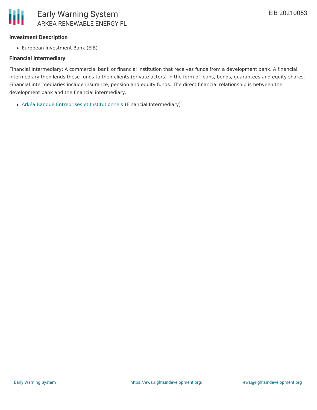

## **Investment Description**

European Investment Bank (EIB)

## **Financial Intermediary**

Financial Intermediary: A commercial bank or financial institution that receives funds from a development bank. A financial intermediary then lends these funds to their clients (private actors) in the form of loans, bonds, guarantees and equity shares. Financial intermediaries include insurance, pension and equity funds. The direct financial relationship is between the development bank and the financial intermediary.

Arkéa Banque Entreprises et [Institutionnels](file:///actor/487/) (Financial Intermediary)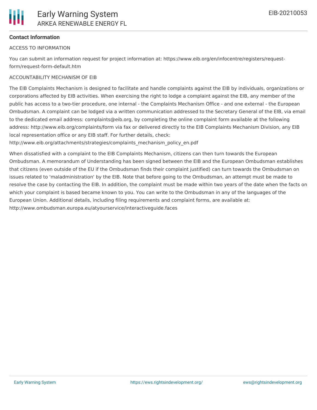

# **Contact Information**

## ACCESS TO INFORMATION

You can submit an information request for project information at: https://www.eib.org/en/infocentre/registers/requestform/request-form-default.htm

## ACCOUNTABILITY MECHANISM OF EIB

The EIB Complaints Mechanism is designed to facilitate and handle complaints against the EIB by individuals, organizations or corporations affected by EIB activities. When exercising the right to lodge a complaint against the EIB, any member of the public has access to a two-tier procedure, one internal - the Complaints Mechanism Office - and one external - the European Ombudsman. A complaint can be lodged via a written communication addressed to the Secretary General of the EIB, via email to the dedicated email address: complaints@eib.org, by completing the online complaint form available at the following address: http://www.eib.org/complaints/form via fax or delivered directly to the EIB Complaints Mechanism Division, any EIB local representation office or any EIB staff. For further details, check:

http://www.eib.org/attachments/strategies/complaints\_mechanism\_policy\_en.pdf

When dissatisfied with a complaint to the EIB Complaints Mechanism, citizens can then turn towards the European Ombudsman. A memorandum of Understanding has been signed between the EIB and the European Ombudsman establishes that citizens (even outside of the EU if the Ombudsman finds their complaint justified) can turn towards the Ombudsman on issues related to 'maladministration' by the EIB. Note that before going to the Ombudsman, an attempt must be made to resolve the case by contacting the EIB. In addition, the complaint must be made within two years of the date when the facts on which your complaint is based became known to you. You can write to the Ombudsman in any of the languages of the European Union. Additional details, including filing requirements and complaint forms, are available at: http://www.ombudsman.europa.eu/atyourservice/interactiveguide.faces